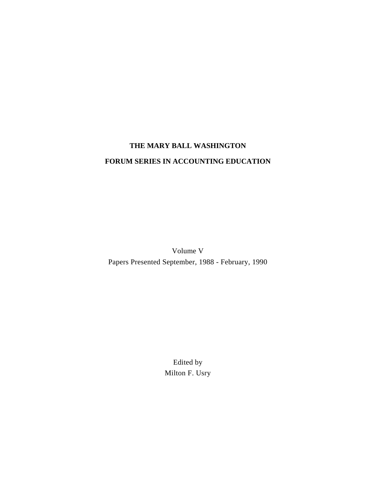# **THE MARY BALL WASHINGTON FORUM SERIES IN ACCOUNTING EDUCATION**

Volume V Papers Presented September, 1988 - February, 1990

> Edited by Milton F. Usry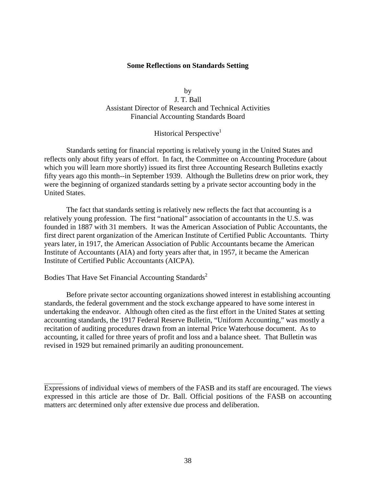## **Some Reflections on Standards Setting**

by J. T. Ball Assistant Director of Research and Technical Activities Financial Accounting Standards Board

## Historical Perspective<sup>1</sup>

Standards setting for financial reporting is relatively young in the United States and reflects only about fifty years of effort. In fact, the Committee on Accounting Procedure (about which you will learn more shortly) issued its first three Accounting Research Bulletins exactly fifty years ago this month--in September 1939. Although the Bulletins drew on prior work, they were the beginning of organized standards setting by a private sector accounting body in the United States.

The fact that standards setting is relatively new reflects the fact that accounting is a relatively young profession. The first "national" association of accountants in the U.S. was founded in 1887 with 31 members. It was the American Association of Public Accountants, the first direct parent organization of the American Institute of Certified Public Accountants. Thirty years later, in 1917, the American Association of Public Accountants became the American Institute of Accountants (AIA) and forty years after that, in 1957, it became the American Institute of Certified Public Accountants (AICPA).

Bodies That Have Set Financial Accounting Standards<sup>2</sup>

Before private sector accounting organizations showed interest in establishing accounting standards, the federal government and the stock exchange appeared to have some interest in undertaking the endeavor. Although often cited as the first effort in the United States at setting accounting standards, the 1917 Federal Reserve Bulletin, "Uniform Accounting," was mostly a recitation of auditing procedures drawn from an internal Price Waterhouse document. As to accounting, it called for three years of profit and loss and a balance sheet. That Bulletin was revised in 1929 but remained primarily an auditing pronouncement.

Expressions of individual views of members of the FASB and its staff are encouraged. The views expressed in this article are those of Dr. Ball. Official positions of the FASB on accounting matters arc determined only after extensive due process and deliberation.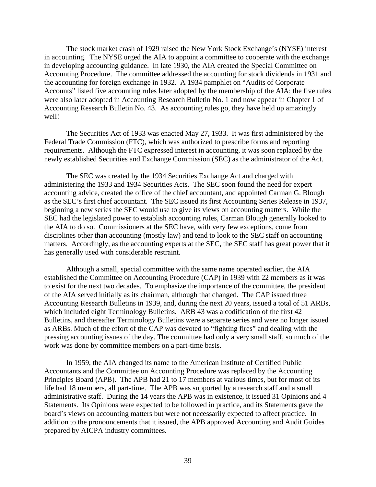The stock market crash of 1929 raised the New York Stock Exchange's (NYSE) interest in accounting. The NYSE urged the AIA to appoint a committee to cooperate with the exchange in developing accounting guidance. In late 1930, the AIA created the Special Committee on Accounting Procedure. The committee addressed the accounting for stock dividends in 1931 and the accounting for foreign exchange in 1932. A 1934 pamphlet on "Audits of Corporate Accounts" listed five accounting rules later adopted by the membership of the AIA; the five rules were also later adopted in Accounting Research Bulletin No. 1 and now appear in Chapter 1 of Accounting Research Bulletin No. 43. As accounting rules go, they have held up amazingly well!

The Securities Act of 1933 was enacted May 27, 1933. It was first administered by the Federal Trade Commission (FTC), which was authorized to prescribe forms and reporting requirements. Although the FTC expressed interest in accounting, it was soon replaced by the newly established Securities and Exchange Commission (SEC) as the administrator of the Act.

The SEC was created by the 1934 Securities Exchange Act and charged with administering the 1933 and 1934 Securities Acts. The SEC soon found the need for expert accounting advice, created the office of the chief accountant, and appointed Carman G. Blough as the SEC's first chief accountant. The SEC issued its first Accounting Series Release in 1937, beginning a new series the SEC would use to give its views on accounting matters. While the SEC had the legislated power to establish accounting rules, Carman Blough generally looked to the AIA to do so. Commissioners at the SEC have, with very few exceptions, come from disciplines other than accounting (mostly law) and tend to look to the SEC staff on accounting matters. Accordingly, as the accounting experts at the SEC, the SEC staff has great power that it has generally used with considerable restraint.

Although a small, special committee with the same name operated earlier, the AIA established the Committee on Accounting Procedure (CAP) in 1939 with 22 members as it was to exist for the next two decades. To emphasize the importance of the committee, the president of the AIA served initially as its chairman, although that changed. The CAP issued three Accounting Research Bulletins in 1939, and, during the next 20 years, issued a total of 51 ARBs, which included eight Terminology Bulletins. ARB 43 was a codification of the first 42 Bulletins, and thereafter Terminology Bulletins were a separate series and were no longer issued as ARBs. Much of the effort of the CAP was devoted to "fighting fires" and dealing with the pressing accounting issues of the day. The committee had only a very small staff, so much of the work was done by committee members on a part-time basis.

In 1959, the AIA changed its name to the American Institute of Certified Public Accountants and the Committee on Accounting Procedure was replaced by the Accounting Principles Board (APB). The APB had 21 to 17 members at various times, but for most of its life had 18 members, all part-time. The APB was supported by a research staff and a small administrative staff. During the 14 years the APB was in existence, it issued 31 Opinions and 4 Statements. Its Opinions were expected to be followed in practice, and its Statements gave the board's views on accounting matters but were not necessarily expected to affect practice. In addition to the pronouncements that it issued, the APB approved Accounting and Audit Guides prepared by AICPA industry committees.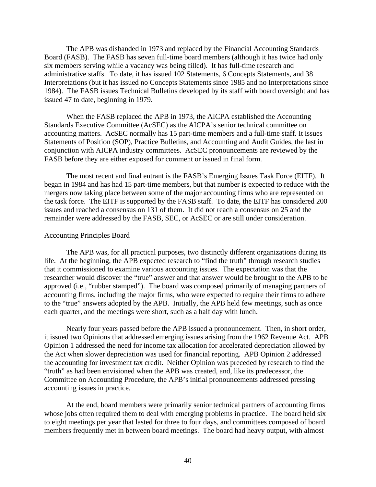The APB was disbanded in 1973 and replaced by the Financial Accounting Standards Board (FASB). The FASB has seven full-time board members (although it has twice had only six members serving while a vacancy was being filled). It has full-time research and administrative staffs. To date, it has issued 102 Statements, 6 Concepts Statements, and 38 Interpretations (but it has issued no Concepts Statements since 1985 and no Interpretations since 1984). The FASB issues Technical Bulletins developed by its staff with board oversight and has issued 47 to date, beginning in 1979.

When the FASB replaced the APB in 1973, the AICPA established the Accounting Standards Executive Committee (AcSEC) as the AICPA's senior technical committee on accounting matters. AcSEC normally has 15 part-time members and a full-time staff. It issues Statements of Position (SOP), Practice Bulletins, and Accounting and Audit Guides, the last in conjunction with AICPA industry committees. AcSEC pronouncements are reviewed by the FASB before they are either exposed for comment or issued in final form.

The most recent and final entrant is the FASB's Emerging Issues Task Force (EITF). It began in 1984 and has had 15 part-time members, but that number is expected to reduce with the mergers now taking place between some of the major accounting firms who are represented on the task force. The EITF is supported by the FASB staff. To date, the EITF has considered 200 issues and reached a consensus on 131 of them. It did not reach a consensus on 25 and the remainder were addressed by the FASB, SEC, or AcSEC or are still under consideration.

#### Accounting Principles Board

The APB was, for all practical purposes, two distinctly different organizations during its life. At the beginning, the APB expected research to "find the truth" through research studies that it commissioned to examine various accounting issues. The expectation was that the researcher would discover the "true" answer and that answer would be brought to the APB to be approved (i.e., "rubber stamped"). The board was composed primarily of managing partners of accounting firms, including the major firms, who were expected to require their firms to adhere to the "true" answers adopted by the APB. Initially, the APB held few meetings, such as once each quarter, and the meetings were short, such as a half day with lunch.

Nearly four years passed before the APB issued a pronouncement. Then, in short order, it issued two Opinions that addressed emerging issues arising from the 1962 Revenue Act. APB Opinion 1 addressed the need for income tax allocation for accelerated depreciation allowed by the Act when slower depreciation was used for financial reporting. APB Opinion 2 addressed the accounting for investment tax credit. Neither Opinion was preceded by research to find the "truth" as had been envisioned when the APB was created, and, like its predecessor, the Committee on Accounting Procedure, the APB's initial pronouncements addressed pressing accounting issues in practice.

At the end, board members were primarily senior technical partners of accounting firms whose jobs often required them to deal with emerging problems in practice. The board held six to eight meetings per year that lasted for three to four days, and committees composed of board members frequently met in between board meetings. The board had heavy output, with almost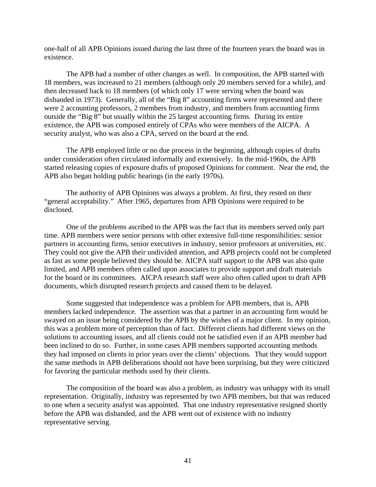one-half of all APB Opinions issued during the last three of the fourteen years the board was in existence.

The APB had a number of other changes as well. In composition, the APB started with 18 members, was increased to 21 members (although only 20 members served for a while), and then decreased back to 18 members (of which only 17 were serving when the board was disbanded in 1973). Generally, all of the "Big 8" accounting firms were represented and there were 2 accounting professors, 2 members from industry, and members from accounting firms outside the "Big 8" but usually within the 25 largest accounting firms. During its entire existence, the APB was composed entirely of CPAs who were members of the AICPA. A security analyst, who was also a CPA, served on the board at the end.

The APB employed little or no due process in the beginning, although copies of drafts under consideration often circulated informally and extensively. In the mid-1960s, the APB started releasing copies of exposure drafts of proposed Opinions for comment. Near the end, the APB also began holding public hearings (in the early 1970s).

The authority of APB Opinions was always a problem. At first, they rested on their "general acceptability." After 1965, departures from APB Opinions were required to be disclosed.

One of the problems ascribed to the APB was the fact that its members served only part time. APB members were senior persons with other extensive full-time responsibilities: senior partners in accounting firms, senior executives in industry, senior professors at universities, etc. They could not give the APB their undivided attention, and APB projects could not be completed as fast as some people believed they should be. AICPA staff support to the APB was also quite limited, and APB members often called upon associates to provide support and draft materials for the board or its committees. AICPA research staff were also often called upon to draft APB documents, which disrupted research projects and caused them to be delayed.

Some suggested that independence was a problem for APB members, that is, APB members lacked independence. The assertion was that a partner in an accounting firm would be swayed on an issue being considered by the APB by the wishes of a major client. In my opinion, this was a problem more of perception than of fact. Different clients had different views on the solutions to accounting issues, and all clients could not be satisfied even if an APB member had been inclined to do so. Further, in some cases APB members supported accounting methods they had imposed on clients in prior years over the clients' objections. That they would support the same methods in APB deliberations should not have been surprising, but they were criticized for favoring the particular methods used by their clients.

The composition of the board was also a problem, as industry was unhappy with its small representation. Originally, industry was represented by two APB members, but that was reduced to one when a security analyst was appointed. That one industry representative resigned shortly before the APB was disbanded, and the APB went out of existence with no industry representative serving.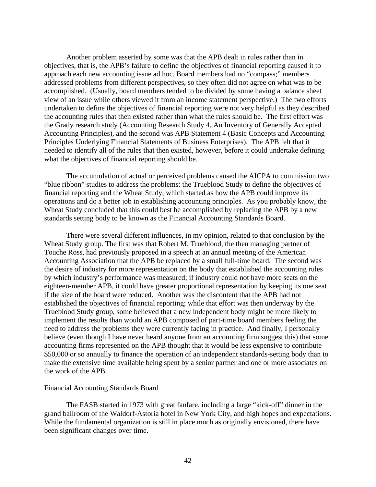Another problem asserted by some was that the APB dealt in rules rather than in objectives, that is, the APB's failure to define the objectives of financial reporting caused it to approach each new accounting issue ad hoc. Board members had no "compass;" members addressed problems from different perspectives, so they often did not agree on what was to be accomplished. (Usually, board members tended to be divided by some having a balance sheet view of an issue while others viewed it from an income statement perspective.) The two efforts undertaken to define the objectives of financial reporting were not very helpful as they described the accounting rules that then existed rather than what the rules should be. The first effort was the Grady research study (Accounting Research Study 4, An Inventory of Generally Accepted Accounting Principles), and the second was APB Statement 4 (Basic Concepts and Accounting Principles Underlying Financial Statements of Business Enterprises). The APB felt that it needed to identify all of the rules that then existed, however, before it could undertake defining what the objectives of financial reporting should be.

The accumulation of actual or perceived problems caused the AICPA to commission two "blue ribbon" studies to address the problems: the Trueblood Study to define the objectives of financial reporting and the Wheat Study, which started as how the APB could improve its operations and do a better job in establishing accounting principles. As you probably know, the Wheat Study concluded that this could best be accomplished by replacing the APB by a new standards setting body to be known as the Financial Accounting Standards Board.

There were several different influences, in my opinion, related to that conclusion by the Wheat Study group. The first was that Robert M. Trueblood, the then managing partner of Touche Ross, had previously proposed in a speech at an annual meeting of the American Accounting Association that the APB be replaced by a small full-time board. The second was the desire of industry for more representation on the body that established the accounting rules by which industry's performance was measured; if industry could not have more seats on the eighteen-member APB, it could have greater proportional representation by keeping its one seat if the size of the board were reduced. Another was the discontent that the APB had not established the objectives of financial reporting; while that effort was then underway by the Trueblood Study group, some believed that a new independent body might be more likely to implement the results than would an APB composed of part-time board members feeling the need to address the problems they were currently facing in practice. And finally, I personally believe (even though I have never heard anyone from an accounting firm suggest this) that some accounting firms represented on the APB thought that it would be less expensive to contribute \$50,000 or so annually to finance the operation of an independent standards-setting body than to make the extensive time available being spent by a senior partner and one or more associates on the work of the APB.

#### Financial Accounting Standards Board

The FASB started in 1973 with great fanfare, including a large "kick-off" dinner in the grand ballroom of the Waldorf-Astoria hotel in New York City, and high hopes and expectations. While the fundamental organization is still in place much as originally envisioned, there have been significant changes over time.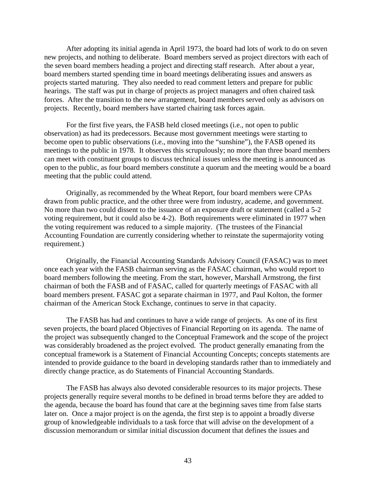After adopting its initial agenda in April 1973, the board had lots of work to do on seven new projects, and nothing to deliberate. Board members served as project directors with each of the seven board members heading a project and directing staff research. After about a year, board members started spending time in board meetings deliberating issues and answers as projects started maturing. They also needed to read comment letters and prepare for public hearings. The staff was put in charge of projects as project managers and often chaired task forces. After the transition to the new arrangement, board members served only as advisors on projects. Recently, board members have started chairing task forces again.

For the first five years, the FASB held closed meetings (i.e., not open to public observation) as had its predecessors. Because most government meetings were starting to become open to public observations (i.e., moving into the "sunshine"), the FASB opened its meetings to the public in 1978. It observes this scrupulously; no more than three board members can meet with constituent groups to discuss technical issues unless the meeting is announced as open to the public, as four board members constitute a quorum and the meeting would be a board meeting that the public could attend.

Originally, as recommended by the Wheat Report, four board members were CPAs drawn from public practice, and the other three were from industry, academe, and government. No more than two could dissent to the issuance of an exposure draft or statement (called a 5-2 voting requirement, but it could also be 4-2). Both requirements were eliminated in 1977 when the voting requirement was reduced to a simple majority. (The trustees of the Financial Accounting Foundation are currently considering whether to reinstate the supermajority voting requirement.)

Originally, the Financial Accounting Standards Advisory Council (FASAC) was to meet once each year with the FASB chairman serving as the FASAC chairman, who would report to board members following the meeting. From the start, however, Marshall Armstrong, the first chairman of both the FASB and of FASAC, called for quarterly meetings of FASAC with all board members present. FASAC got a separate chairman in 1977, and Paul Kolton, the former chairman of the American Stock Exchange, continues to serve in that capacity.

The FASB has had and continues to have a wide range of projects. As one of its first seven projects, the board placed Objectives of Financial Reporting on its agenda. The name of the project was subsequently changed to the Conceptual Framework and the scope of the project was considerably broadened as the project evolved. The product generally emanating from the conceptual framework is a Statement of Financial Accounting Concepts; concepts statements are intended to provide guidance to the board in developing standards rather than to immediately and directly change practice, as do Statements of Financial Accounting Standards.

The FASB has always also devoted considerable resources to its major projects. These projects generally require several months to be defined in broad terms before they are added to the agenda, because the board has found that care at the beginning saves time from false starts later on. Once a major project is on the agenda, the first step is to appoint a broadly diverse group of knowledgeable individuals to a task force that will advise on the development of a discussion memorandum or similar initial discussion document that defines the issues and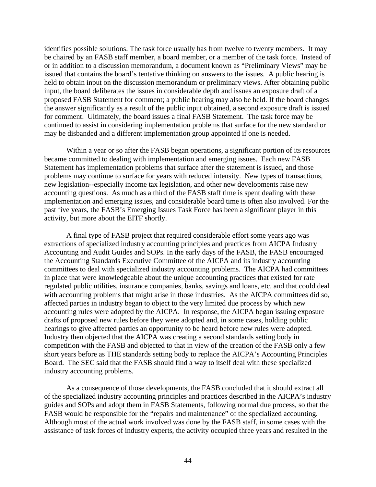identifies possible solutions. The task force usually has from twelve to twenty members. It may be chaired by an FASB staff member, a board member, or a member of the task force. Instead of or in addition to a discussion memorandum, a document known as "Preliminary Views" may be issued that contains the board's tentative thinking on answers to the issues. A public hearing is held to obtain input on the discussion memorandum or preliminary views. After obtaining public input, the board deliberates the issues in considerable depth and issues an exposure draft of a proposed FASB Statement for comment; a public hearing may also be held. If the board changes the answer significantly as a result of the public input obtained, a second exposure draft is issued for comment. Ultimately, the board issues a final FASB Statement. The task force may be continued to assist in considering implementation problems that surface for the new standard or may be disbanded and a different implementation group appointed if one is needed.

Within a year or so after the FASB began operations, a significant portion of its resources became committed to dealing with implementation and emerging issues. Each new FASB Statement has implementation problems that surface after the statement is issued, and those problems may continue to surface for years with reduced intensity. New types of transactions, new legislation--especially income tax legislation, and other new developments raise new accounting questions. As much as a third of the FASB staff time is spent dealing with these implementation and emerging issues, and considerable board time is often also involved. For the past five years, the FASB's Emerging Issues Task Force has been a significant player in this activity, but more about the EITF shortly.

A final type of FASB project that required considerable effort some years ago was extractions of specialized industry accounting principles and practices from AICPA Industry Accounting and Audit Guides and SOPs. In the early days of the FASB, the FASB encouraged the Accounting Standards Executive Committee of the AICPA and its industry accounting committees to deal with specialized industry accounting problems. The AICPA had committees in place that were knowledgeable about the unique accounting practices that existed for rate regulated public utilities, insurance companies, banks, savings and loans, etc. and that could deal with accounting problems that might arise in those industries. As the AICPA committees did so, affected parties in industry began to object to the very limited due process by which new accounting rules were adopted by the AICPA. In response, the AICPA began issuing exposure drafts of proposed new rules before they were adopted and, in some cases, holding public hearings to give affected parties an opportunity to be heard before new rules were adopted. Industry then objected that the AICPA was creating a second standards setting body in competition with the FASB and objected to that in view of the creation of the FASB only a few short years before as THE standards setting body to replace the AICPA's Accounting Principles Board. The SEC said that the FASB should find a way to itself deal with these specialized industry accounting problems.

As a consequence of those developments, the FASB concluded that it should extract all of the specialized industry accounting principles and practices described in the AICPA's industry guides and SOPs and adopt them in FASB Statements, following normal due process, so that the FASB would be responsible for the "repairs and maintenance" of the specialized accounting. Although most of the actual work involved was done by the FASB staff, in some cases with the assistance of task forces of industry experts, the activity occupied three years and resulted in the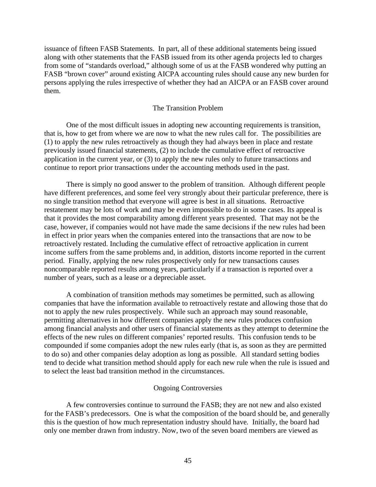issuance of fifteen FASB Statements. In part, all of these additional statements being issued along with other statements that the FASB issued from its other agenda projects led to charges from some of "standards overload," although some of us at the FASB wondered why putting an FASB "brown cover" around existing AICPA accounting rules should cause any new burden for persons applying the rules irrespective of whether they had an AICPA or an FASB cover around them.

## The Transition Problem

One of the most difficult issues in adopting new accounting requirements is transition, that is, how to get from where we are now to what the new rules call for. The possibilities are (1) to apply the new rules retroactively as though they had always been in place and restate previously issued financial statements, (2) to include the cumulative effect of retroactive application in the current year, or (3) to apply the new rules only to future transactions and continue to report prior transactions under the accounting methods used in the past.

There is simply no good answer to the problem of transition. Although different people have different preferences, and some feel very strongly about their particular preference, there is no single transition method that everyone will agree is best in all situations. Retroactive restatement may be lots of work and may be even impossible to do in some cases. Its appeal is that it provides the most comparability among different years presented. That may not be the case, however, if companies would not have made the same decisions if the new rules had been in effect in prior years when the companies entered into the transactions that are now to be retroactively restated. Including the cumulative effect of retroactive application in current income suffers from the same problems and, in addition, distorts income reported in the current period. Finally, applying the new rules prospectively only for new transactions causes noncomparable reported results among years, particularly if a transaction is reported over a number of years, such as a lease or a depreciable asset.

A combination of transition methods may sometimes be permitted, such as allowing companies that have the information available to retroactively restate and allowing those that do not to apply the new rules prospectively. While such an approach may sound reasonable, permitting alternatives in how different companies apply the new rules produces confusion among financial analysts and other users of financial statements as they attempt to determine the effects of the new rules on different companies' reported results. This confusion tends to be compounded if some companies adopt the new rules early (that is, as soon as they are permitted to do so) and other companies delay adoption as long as possible. All standard setting bodies tend to decide what transition method should apply for each new rule when the rule is issued and to select the least bad transition method in the circumstances.

#### Ongoing Controversies

A few controversies continue to surround the FASB; they are not new and also existed for the FASB's predecessors. One is what the composition of the board should be, and generally this is the question of how much representation industry should have*.* Initially, the board had only one member drawn from industry. Now, two of the seven board members are viewed as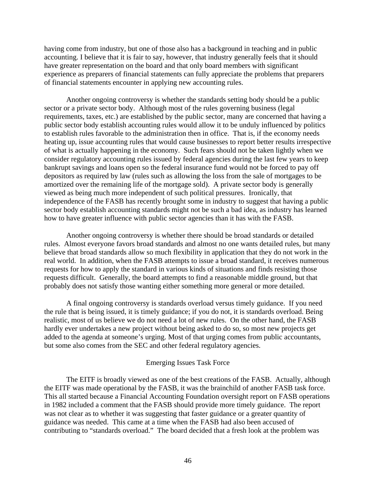having come from industry, but one of those also has a background in teaching and in public accounting. I believe that it is fair to say, however, that industry generally feels that it should have greater representation on the board and that only board members with significant experience as preparers of financial statements can fully appreciate the problems that preparers of financial statements encounter in applying new accounting rules.

Another ongoing controversy is whether the standards setting body should be a public sector or a private sector body. Although most of the rules governing business (legal requirements, taxes, etc.) are established by the public sector, many are concerned that having a public sector body establish accounting rules would allow it to be unduly influenced by politics to establish rules favorable to the administration then in office. That is, if the economy needs heating up, issue accounting rules that would cause businesses to report better results irrespective of what is actually happening in the economy. Such fears should not be taken lightly when we consider regulatory accounting rules issued by federal agencies during the last few years to keep bankrupt savings and loans open so the federal insurance fund would not be forced to pay off depositors as required by law (rules such as allowing the loss from the sale of mortgages to be amortized over the remaining life of the mortgage sold). A private sector body is generally viewed as being much more independent of such political pressures. Ironically, that independence of the FASB has recently brought some in industry to suggest that having a public sector body establish accounting standards might not be such a bad idea, as industry has learned how to have greater influence with public sector agencies than it has with the FASB.

Another ongoing controversy is whether there should be broad standards or detailed rules. Almost everyone favors broad standards and almost no one wants detailed rules, but many believe that broad standards allow so much flexibility in application that they do not work in the real world. In addition, when the FASB attempts to issue a broad standard, it receives numerous requests for how to apply the standard in various kinds of situations and finds resisting those requests difficult. Generally, the board attempts to find a reasonable middle ground, but that probably does not satisfy those wanting either something more general or more detailed.

A final ongoing controversy is standards overload versus timely guidance. If you need the rule that is being issued, it is timely guidance; if you do not, it is standards overload. Being realistic, most of us believe we do not need a lot of new rules. On the other hand, the FASB hardly ever undertakes a new project without being asked to do so, so most new projects get added to the agenda at someone's urging. Most of that urging comes from public accountants, but some also comes from the SEC and other federal regulatory agencies.

## Emerging Issues Task Force

The EITF is broadly viewed as one of the best creations of the FASB. Actually, although the EITF was made operational by the FASB, it was the brainchild of another FASB task force. This all started because a Financial Accounting Foundation oversight report on FASB operations in 1982 included a comment that the FASB should provide more timely guidance. The report was not clear as to whether it was suggesting that faster guidance or a greater quantity of guidance was needed. This came at a time when the FASB had also been accused of contributing to "standards overload." The board decided that a fresh look at the problem was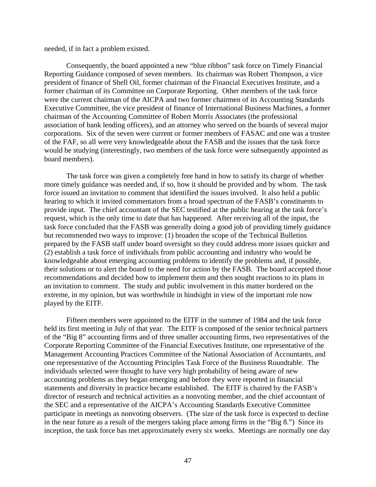needed, if in fact a problem existed.

Consequently, the board appointed a new "blue ribbon" task force on Timely Financial Reporting Guidance composed of seven members. Its chairman was Robert Thompson, a vice president of finance of Shell Oil, former chairman of the Financial Executives Institute, and a former chairman of its Committee on Corporate Reporting. Other members of the task force were the current chairman of the AICPA and two former chairmen of its Accounting Standards Executive Committee, the vice president of finance of International Business Machines, a former chairman of the Accounting Committee of Robert Morris Associates (the professional association of bank lending officers), and an attorney who served on the boards of several major corporations. Six of the seven were current or former members of FASAC and one was a trustee of the FAF, so all were very knowledgeable about the FASB and the issues that the task force would be studying (interestingly, two members of the task force were subsequently appointed as board members).

The task force was given a completely free hand in how to satisfy its charge of whether more timely guidance was needed and, if so, how it should be provided and by whom. The task force issued an invitation to comment that identified the issues involved. It also held a public hearing to which it invited commentators from a broad spectrum of the FASB's constituents to provide input. The chief accountant of the SEC testified at the public hearing at the task force's request, which is the only time to date that has happened. After receiving all of the input, the task force concluded that the FASB was generally doing a good job of providing timely guidance but recommended two ways to improve: (1) broaden the scope of the Technical Bulletins prepared by the FASB staff under board oversight so they could address more issues quicker and (2) establish a task force of individuals from public accounting and industry who would be knowledgeable about emerging accounting problems to identify the problems and, if possible, their solutions or to alert the board to the need for action by the FASB. The board accepted those recommendations and decided how to implement them and then sought reactions to its plans in an invitation to comment. The study and public involvement in this matter bordered on the extreme, in my opinion, but was worthwhile in hindsight in view of the important role now played by the EITF.

Fifteen members were appointed to the EITF in the summer of 1984 and the task force held its first meeting in July of that year. The EITF is composed of the senior technical partners of the "Big 8" accounting firms and of three smaller accounting firms, two representatives of the Corporate Reporting Committee of the Financial Executives Institute, one representative of the Management Accounting Practices Committee of the National Association of Accountants, and one representative of the Accounting Principles Task Force of the Business Roundtable. The individuals selected were thought to have very high probability of being aware of new accounting problems as they began emerging and before they were reported in financial statements and diversity in practice became established. The EITF is chaired by the FASB's director of research and technical activities as a nonvoting member, and the chief accountant of the SEC and a representative of the AICPA's Accounting Standards Executive Committee participate in meetings as nonvoting observers. (The size of the task force is expected to decline in the near future as a result of the mergers taking place among firms in the "Big 8.") Since its inception, the task force has met approximately every six weeks. Meetings are normally one day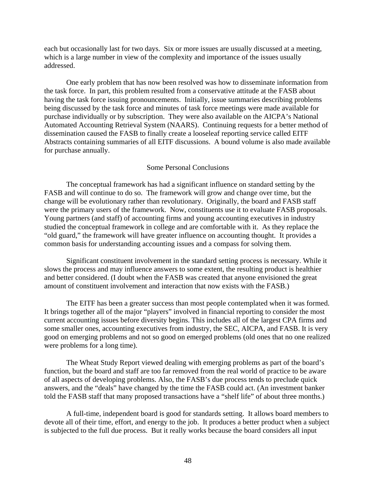each but occasionally last for two days. Six or more issues are usually discussed at a meeting, which is a large number in view of the complexity and importance of the issues usually addressed.

One early problem that has now been resolved was how to disseminate information from the task force. In part, this problem resulted from a conservative attitude at the FASB about having the task force issuing pronouncements. Initially, issue summaries describing problems being discussed by the task force and minutes of task force meetings were made available for purchase individually or by subscription. They were also available on the AICPA's National Automated Accounting Retrieval System (NAARS). Continuing requests for a better method of dissemination caused the FASB to finally create a looseleaf reporting service called EITF Abstracts containing summaries of all EITF discussions. A bound volume is also made available for purchase annually.

## Some Personal Conclusions

The conceptual framework has had a significant influence on standard setting by the FASB and will continue to do so. The framework will grow and change over time, but the change will be evolutionary rather than revolutionary. Originally, the board and FASB staff were the primary users of the framework. Now, constituents use it to evaluate FASB proposals. Young partners (and staff) of accounting firms and young accounting executives in industry studied the conceptual framework in college and are comfortable with it. As they replace the "old guard," the framework will have greater influence on accounting thought. It provides a common basis for understanding accounting issues and a compass for solving them.

Significant constituent involvement in the standard setting process is necessary. While it slows the process and may influence answers to some extent, the resulting product is healthier and better considered. (I doubt when the FASB was created that anyone envisioned the great amount of constituent involvement and interaction that now exists with the FASB.)

The EITF has been a greater success than most people contemplated when it was formed. It brings together all of the major "players" involved in financial reporting to consider the most current accounting issues before diversity begins. This includes all of the largest CPA firms and some smaller ones, accounting executives from industry, the SEC, AICPA, and FASB. It is very good on emerging problems and not so good on emerged problems (old ones that no one realized were problems for a long time).

The Wheat Study Report viewed dealing with emerging problems as part of the board's function, but the board and staff are too far removed from the real world of practice to be aware of all aspects of developing problems. Also, the FASB's due process tends to preclude quick answers, and the "deals" have changed by the time the FASB could act. (An investment banker told the FASB staff that many proposed transactions have a "shelf life" of about three months.)

A full-time, independent board is good for standards setting. It allows board members to devote all of their time, effort, and energy to the job. It produces a better product when a subject is subjected to the full due process. But it really works because the board considers all input